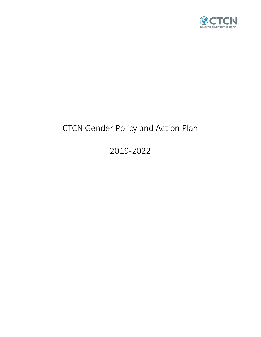

# CTCN Gender Policy and Action Plan

2019-2022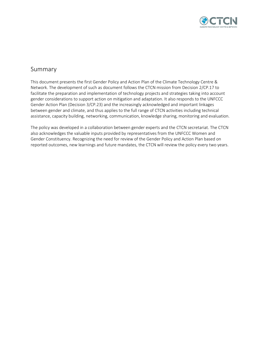

# Summary

This document presents the first Gender Policy and Action Plan of the Climate Technology Centre & Network. The development of such as document follows the CTCN mission from Decision 2/CP.17 to facilitate the preparation and implementation of technology projects and strategies taking into account gender considerations to support action on mitigation and adaptation. It also responds to the UNFCCC Gender Action Plan (Decision 3/CP.23) and the increasingly acknowledged and important linkages between gender and climate, and thus applies to the full range of CTCN activities including technical assistance, capacity building, networking, communication, knowledge sharing, monitoring and evaluation.

The policy was developed in a collaboration between gender experts and the CTCN secretariat. The CTCN also acknowledges the valuable inputs provided by representatives from the UNFCCC Women and Gender Constituency. Recognizing the need for review of the Gender Policy and Action Plan based on reported outcomes, new learnings and future mandates, the CTCN will review the policy every two years.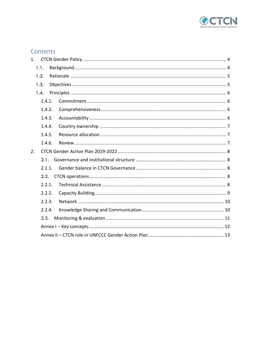

# Contents

| 1.     |        |  |  |
|--------|--------|--|--|
|        | 1.1.   |  |  |
|        | 1.2.   |  |  |
|        | 1.3.   |  |  |
|        | 1.4.   |  |  |
|        | 1.4.1. |  |  |
|        | 1.4.2. |  |  |
|        | 1.4.3. |  |  |
|        | 1.4.4. |  |  |
|        | 1.4.5. |  |  |
| 1.4.6. |        |  |  |
| 2.     |        |  |  |
|        | 2.1.   |  |  |
|        | 2.1.1. |  |  |
|        | 2.2.   |  |  |
|        | 2.2.1. |  |  |
|        | 2.2.2. |  |  |
|        | 2.2.3. |  |  |
|        | 2.2.4. |  |  |
|        | 2.3.   |  |  |
|        |        |  |  |
|        |        |  |  |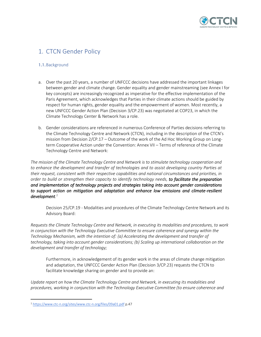

# <span id="page-3-0"></span>1. CTCN Gender Policy

### <span id="page-3-1"></span>1.1.Background

- a. Over the past 20 years, a number of UNFCCC decisions have addressed the important linkages between gender and climate change. Gender equality and gender mainstreaming (see Annex I for key concepts) are increasingly recognized as imperative for the effective implementation of the Paris Agreement, which acknowledges that Parties in their climate actions should be guided by respect for human rights, gender equality and the empowerment of women. Most recently, a new UNFCCC Gender Action Plan (Decision 3/CP.23) was negotiated at COP23, in which the Climate Technology Center & Network has a role.
- b. Gender considerations are referenced in numerous Conference of Parties decisions referring to the Climate Technology Centre and Network (CTCN), including in the description of the CTCN's mission from Decision 2/CP.17 – Outcome of the work of the Ad Hoc Working Group on Longterm Cooperative Action under the Convention: Annex VII – Terms of reference of the Climate Technology Centre and Network:

*The mission of the Climate Technology Centre and Network is to stimulate technology cooperation and to enhance the development and transfer of technologies and to assist developing country Parties at their request, consistent with their respective capabilities and national circumstances and priorities, in order to build or strengthen their capacity to identify technology needs, to facilitate the preparation and implementation of technology projects and strategies taking into account gender considerations to support action on mitigation and adaptation and enhance low emissions and climate-resilient development. 1*

Decision 25/CP.19 - Modalities and procedures of the Climate Technology Centre Network and its Advisory Board:

*Requests the Climate Technology Centre and Network, in executing its modalities and procedures, to work in conjunction with the Technology Executive Committee to ensure coherence and synergy within the Technology Mechanism, with the intention of: (a) Accelerating the development and transfer of technology, taking into account gender considerations; (b) Scaling up international collaboration on the development and transfer of technology;* 

Furthermore, in acknowledgement of its gender work in the areas of climate change mitigation and adaptation, the UNFCCC Gender Action Plan (Decision 3/CP.23) requests the CTCN to facilitate knowledge sharing on gender and to provide an:

*Update report on how the Climate Technology Centre and Network, in executing its modalities and procedures, working in conjunction with the Technology Executive Committee (to ensure coherence and* 

<sup>1</sup> <https://www.ctc-n.org/sites/www.ctc-n.org/files/09a01.pdf> p.47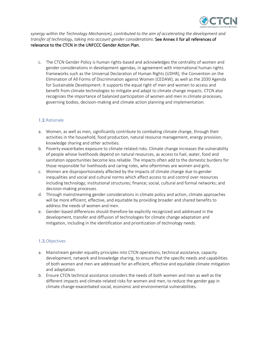

*synergy within the Technology Mechanism), contributed to the aim of accelerating the development and transfer of technology, taking into account gender considerations.* See Annex II for all references of relevance to the CTCN in the UNFCCC Gender Action Plan.

c. The CTCN Gender Policy is human rights-based and acknowledges the centrality of women and gender considerations in development agendas, in agreement with international human rights frameworks such as the Universal Declaration of Human Rights (UDHR), the Convention on the Elimination of All Forms of Discrimination against Women (CEDAW), as well as the 2030 Agenda for Sustainable Development. It supports the equal right of men and women to access and benefit from climate technologies to mitigate and adapt to climate change impacts. CTCN also recognizes the importance of balanced participation of women and men in climate processes, governing bodies, decision-making and climate action planning and implementation.

### <span id="page-4-0"></span>1.2.Rationale

- a. Women, as well as men, significantly contribute to combating climate change, through their activities in the household, food production, natural resource management, energy provision, knowledge sharing and other activities.
- b. Poverty exacerbates exposure to climate-related risks. Climate change increases the vulnerability of people whose livelihoods depend on natural resources, as access to fuel, water, food and sanitation opportunities become less reliable. The impacts often add to the domestic burdens for those responsible for livelihoods and caring roles, who oftentimes are women and girls.
- c. Women are disproportionately affected by the impacts of climate change due to gender inequalities and social and cultural norms which affect access to and control over resources including technology; institutional structures; finance; social, cultural and formal networks; and decision-making processes.
- d. Through mainstreaming gender considerations in climate policy and action, climate approaches will be more efficient, effective, and equitable by providing broader and shared benefits to address the needs of women and men.
- e. Gender-based differences should therefore be explicitly recognized and addressed in the development, transfer and diffusion of technologies for climate change adaptation and mitigation, including in the identification and prioritization of technology needs.

# <span id="page-4-1"></span>1.3.Objectives

- a. Mainstream gender equality principles into CTCN operations, technical assistance, capacity development, network and knowledge sharing, to ensure that the specific needs and capabilities of both women and men are addressed for an efficient, effective and equitable climate mitigation and adaptation.
- b. Ensure CTCN technical assistance considers the needs of both women and men as well as the different impacts and climate-related risks for women and men, to reduce the gender gap in climate change-exacerbated social, economic and environmental vulnerabilities.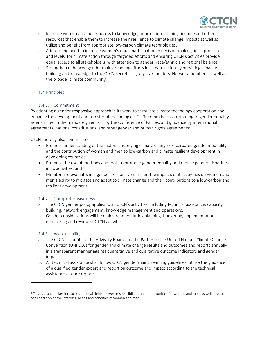

- c. Increase women and men's access to knowledge, information, training, income and other resources that enable them to increase their resilience to climate change impacts as well as utilize and benefit from appropriate low-carbon climate technologies.
- d. Address the need to increase women's equal participation in decision-making, in all processes and levels, for climate action through targeted efforts and ensuring CTCN's activities provide equal access to all stakeholders, with attention to gender, race/ethnic and regional balance.
- e. Strengthen enhanced gender mainstreaming efforts in climate action by providing capacity building and knowledge to the CTCN Secretariat, key stakeholders, Network members as well as the broader climate community.

# <span id="page-5-0"></span>1.4.Principles

### 1.4.1. Commitment

<span id="page-5-1"></span>By adopting a gender-responsive approach in its work to stimulate climate technology cooperation and enhance the development and transfer of technologies, CTCN commits to contributing to gender equality, as enshrined in the mandate given to it by the Conference of Parties, and guidance by international agreements, national constitutions, and other gender and human rights agreements<sup>2</sup>.

CTCN thereby also commits to:

- Promote understanding of the factors underlying climate change-exacerbated gender inequality and the contribution of women and men to low-carbon and climate resilient development in developing countries;
- Promote the use of methods and tools to promote gender equality and reduce gender disparities in its activities; and
- Monitor and evaluate, in a gender-responsive manner, the impacts of its activities on women and men's ability to mitigate and adapt to climate change and their contributions to a low-carbon and resilient development.

### <span id="page-5-2"></span>1.4.2. Comprehensiveness

- a. The CTCN gender policy applies to all CTCN's activities, including technical assistance, capacity building, network engagement, knowledge management and operations.
- b. Gender considerations will be mainstreamed during planning, budgeting, implementation, monitoring and review of CTCN activities

### <span id="page-5-3"></span>1.4.3. Accountability

- a. The CTCN accounts to the Advisory Board and the Parties to the United Nations Climate Change Convention (UNFCCC) for gender and climate change results and outcomes and reports annually in a transparent manner against quantitative and qualitative outcome indicators and gender impact.
- b. All technical assistance shall follow CTCN gender mainstreaming guidelines, utilize the guidance of a qualified gender expert and report on outcome and impact according to the technical assistance closure reports.

<sup>2</sup> This approach takes into account equal rights, power, responsibilities and opportunities for women and men, as well as equal consideration of the interests, needs and priorities of women and men.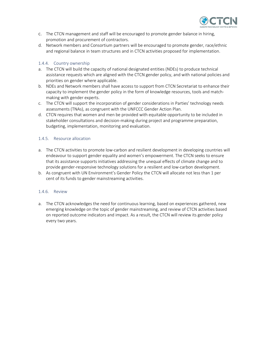

- c. The CTCN management and staff will be encouraged to promote gender balance in hiring, promotion and procurement of contractors.
- d. Network members and Consortium partners will be encouraged to promote gender, race/ethnic and regional balance in team structures and in CTCN activities proposed for implementation.

### <span id="page-6-0"></span>1.4.4. Country ownership

- a. The CTCN will build the capacity of national designated entities (NDEs) to produce technical assistance requests which are aligned with the CTCN gender policy, and with national policies and priorities on gender where applicable.
- b. NDEs and Network members shall have access to support from CTCN Secretariat to enhance their capacity to implement the gender policy in the form of knowledge resources, tools and matchmaking with gender experts.
- c. The CTCN will support the incorporation of gender considerations in Parties' technology needs assessments (TNAs), as congruent with the UNFCCC Gender Action Plan.
- d. CTCN requires that women and men be provided with equitable opportunity to be included in stakeholder consultations and decision-making during project and programme preparation, budgeting, implementation, monitoring and evaluation.

### <span id="page-6-1"></span>1.4.5. Resource allocation

- a. The CTCN activities to promote low-carbon and resilient development in developing countries will endeavour to support gender equality and women's empowerment. The CTCN seeks to ensure that its assistance supports initiatives addressing the unequal effects of climate change and to provide gender-responsive technology solutions for a resilient and low-carbon development.
- b. As congruent with UN Environment's Gender Policy the CTCN will allocate not less than 1 per cent of its funds to gender mainstreaming activities.

#### <span id="page-6-2"></span>1.4.6. Review

a. The CTCN acknowledges the need for continuous learning, based on experiences gathered, new emerging knowledge on the topic of gender mainstreaming, and review of CTCN activities based on reported outcome indicators and impact. As a result, the CTCN will review its gender policy every two years.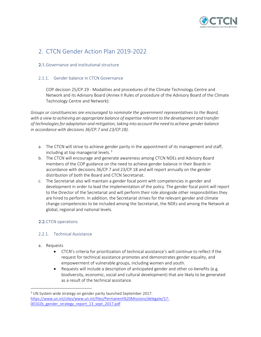

# <span id="page-7-0"></span>2. CTCN Gender Action Plan 2019-2022

# <span id="page-7-1"></span>2.1.Governance and institutional structure

### <span id="page-7-2"></span>2.1.1. Gender balance in CTCN Governance

COP decision 25/CP.19 - Modalities and procedures of the Climate Technology Centre and Network and its Advisory Board (Annex II Rules of procedure of the Advisory Board of the Climate Technology Centre and Network):

*Groups or constituencies are encouraged to nominate the government representatives to the Board, with a view to achieving an appropriate balance of expertise relevant to the development and transfer of technologies for adaptation and mitigation, taking into account the need to achieve gender balance in accordance with decisions 36/CP.7 and 23/CP.18).*

- a. The CTCN will strive to achieve gender parity in the appointment of its management and staff, including at top managerial levels. 3
- b. The CTCN will encourage and generate awareness among CTCN NDEs and Advisory Board members of the COP guidance on the need to achieve gender balance in their Boards in accordance with decisions 36/CP.7 and 23/CP.18 and will report annually on the gender distribution of both the Board and CTCN Secretariat.
- c. The Secretariat also will maintain a gender focal point with competencies in gender and development in order to lead the implementation of the policy. The gender focal point will report to the Director of the Secretariat and will perform their role alongside other responsibilities they are hired to perform. In addition, the Secretariat strives for the relevant gender and climate change competencies to be included among the Secretariat, the NDEs and among the Network at global, regional and national levels.

# <span id="page-7-3"></span>2.2.CTCN operations

# <span id="page-7-4"></span>2.2.1. Technical Assistance

- a. Requests
	- CTCN's criteria for prioritization of technical assistance's will continue to reflect if the request for technical assistance promotes and demonstrates gender equality, and empowerment of vulnerable groups, including women and youth.
	- Requests will include a description of anticipated gender and other co-benefits (e.g. biodiversity, economic, social and cultural development) that are likely to be generated as a result of the technical assistance.

<sup>&</sup>lt;sup>3</sup> UN System wide strategy on gender parity launched September 2017: [https://www.un.int/sites/www.un.int/files/Permanent%20Missions/delegate/17-](https://www.un.int/sites/www.un.int/files/Permanent%20Missions/delegate/17-00102b_gender_strategy_report_13_sept_2017.pdf) 00102b gender strategy report 13 sept 2017.pdf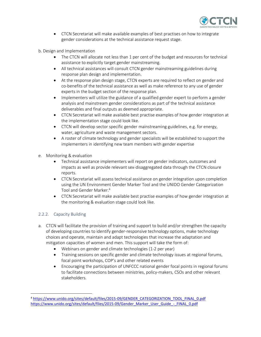

- CTCN Secretariat will make available examples of best practises on how to integrate gender considerations at the technical assistance request stage.
- b. Design and Implementation
	- The CTCN will allocate not less than 1 per cent of the budget and resources for technical assistance to explicitly target gender mainstreaming.
	- All technical assistances will consult CTCN gender mainstreaming guidelines during response plan design and implementation.
	- At the response plan design stage, CTCN experts are required to reflect on gender and co-benefits of the technical assistance as well as make reference to any use of gender experts in the budget section of the response plan.
	- Implementers will utilize the guidance of a qualified gender expert to perform a gender analysis and mainstream gender considerations as part of the technical assistance deliverables and final outputs as deemed appropriate.
	- CTCN Secretariat will make available best practise examples of how gender integration at the implementation stage could look like.
	- CTCN will develop sector specific gender mainstreaming guidelines, e.g. for energy, water, agriculture and waste management sectors.
	- A roster of climate technology and gender specialists will be established to support the implementers in identifying new team members with gender expertise
- e. Monitoring & evaluation
	- Technical assistance implementers will report on gender indicators, outcomes and impacts as well as provide relevant sex-disaggregated data through the CTCN closure reports.
	- CTCN Secretariat will assess technical assistance on gender integration upon completion using the UN Environment Gender Marker Tool and the UNIDO Gender Categorization Tool and Gender Marker.<sup>4</sup>
	- CTCN Secretariat will make available best practise examples of how gender integration at the monitoring & evaluation stage could look like.

# <span id="page-8-0"></span>2.2.2. Capacity Building

- a. CTCN will facilitate the provision of training and support to build and/or strengthen the capacity of developing countries to identify gender-responsive technology options, make technology choices and operate, maintain and adapt technologies that increase the adaptation and mitigation capacities of women and men. This support will take the form of:
	- Webinars on gender and climate technologies (1-2 per year)
	- Training sessions on specific gender and climate technology issues at regional forums, focal point workshops, COP's and other related events
	- Encouraging the participation of UNFCCC national gender focal points in regional forums to facilitate connections between ministries, policy-makers, CSOs and other relevant stakeholders.

<sup>4</sup> [https://www.unido.org/sites/default/files/2015-09/GENDER\\_CATEGORIZATION\\_TOOL\\_FINAL\\_0.pdf](https://www.unido.org/sites/default/files/2015-09/GENDER_CATEGORIZATION_TOOL_FINAL_0.pdf) [https://www.unido.org/sites/default/files/2015-09/Gender\\_Marker\\_User\\_Guide\\_-\\_FINAL\\_0.pdf](https://www.unido.org/sites/default/files/2015-09/Gender_Marker_User_Guide_-_FINAL_0.pdf)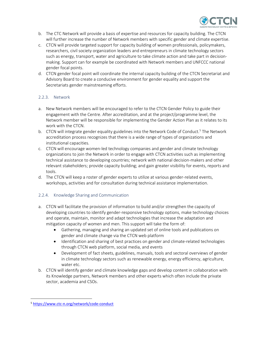

- b. The CTC Network will provide a basis of expertise and resources for capacity building. The CTCN will further increase the number of Network members with specific gender and climate expertise.
- c. CTCN will provide targeted support for capacity building of women professionals, policymakers, researchers, civil society organization leaders and entrepreneurs in climate technology sectors such as energy, transport, water and agriculture to take climate action and take part in decisionmaking. Support can for example be coordinated with Network members and UNFCCC national gender focal points.
- d. CTCN gender focal point will coordinate the internal capacity building of the CTCN Secretariat and Advisory Board to create a conducive environment for gender equality and support the Secretariats gender mainstreaming efforts.

# <span id="page-9-0"></span>2.2.3. Network

- a. New Network members will be encouraged to refer to the CTCN Gender Policy to guide their engagement with the Centre. After accreditation, and at the project/programme level, the Network member will be responsible for implementing the Gender Action Plan as it relates to its work with the CTCN.
- b. CTCN will integrate gender equality guidelines into the Network Code of Conduct.<sup>5</sup> The Network accreditation process recognizes that there is a wide range of types of organizations and institutional capacities.
- c. CTCN will encourage women-led technology companies and gender and climate technology organizations to join the Network in order to engage with CTCN activities such as implementing technical assistance to developing countries; network with national decision-makers and other relevant stakeholders; provide capacity building; and gain greater visibility for events, reports and tools.
- d. The CTCN will keep a roster of gender experts to utilize at various gender-related events, workshops, activities and for consultation during technical assistance implementation.

# <span id="page-9-1"></span>2.2.4. Knowledge Sharing and Communication

- a. CTCN will facilitate the provision of information to build and/or strengthen the capacity of developing countries to identify gender-responsive technology options, make technology choices and operate, maintain, monitor and adapt technologies that increase the adaptation and mitigation capacity of women and men. This support will take the form of:
	- Gathering, managing and sharing an updated set of online tools and publications on gender and climate change via the CTCN web platform
	- Identification and sharing of best practices on gender and climate-related technologies through CTCN web platform, social media, and events
	- Development of fact sheets, guidelines, manuals, tools and sectoral overviews of gender in climate technology sectors such as renewable energy, energy efficiency, agriculture, water etc.
- b. CTCN will identify gender and climate knowledge gaps and develop content in collaboration with its Knowledge partners, Network members and other experts which often include the private sector, academia and CSOs.

<sup>5</sup> <https://www.ctc-n.org/network/code-conduct>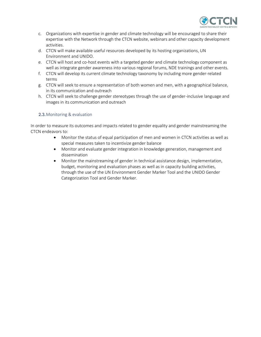

- c. Organizations with expertise in gender and climate technology will be encouraged to share their expertise with the Network through the CTCN website, webinars and other capacity development activities.
- d. CTCN will make available useful resources developed by its hosting organizations, UN Environment and UNIDO.
- e. CTCN will host and co-host events with a targeted gender and climate technology component as well as integrate gender awareness into various regional forums, NDE trainings and other events.
- f. CTCN will develop its current climate technology taxonomy by including more gender-related terms
- g. CTCN will seek to ensure a representation of both women and men, with a geographical balance, in its communication and outreach
- h. CTCN will seek to challenge gender stereotypes through the use of gender-inclusive language and images in its communication and outreach

### <span id="page-10-0"></span>2.3.Monitoring & evaluation

In order to measure its outcomes and impacts related to gender equality and gender mainstreaming the CTCN endeavors to:

- Monitor the status of equal participation of men and women in CTCN activities as well as special measures taken to incentivize gender balance
- Monitor and evaluate gender integration in knowledge generation, management and dissemination
- Monitor the mainstreaming of gender in technical assistance design, implementation, budget, monitoring and evaluation phases as well as in capacity building activities, through the use of the UN Environment Gender Marker Tool and the UNIDO Gender Categorization Tool and Gender Marker.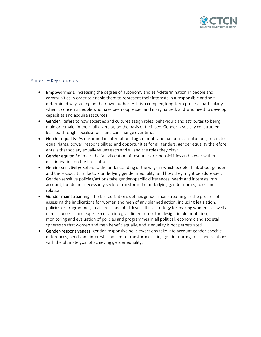

# <span id="page-11-0"></span>Annex I – Key concepts

- Empowerment: increasing the degree of autonomy and self-determination in people and communities in order to enable them to represent their interests in a responsible and selfdetermined way, acting on their own authority. It is a complex, long-term process, particularly when it concerns people who have been oppressed and marginalised, and who need to develop capacities and acquire resources.
- Gender: Refers to how societies and cultures assign roles, behaviours and attributes to being male or female, in their full diversity, on the basis of their sex. Gender is socially constructed, learned through socializations, and can change over time.
- Gender equality: As enshrined in international agreements and national constitutions, refers to equal rights, power, responsibilities and opportunities for all genders; gender equality therefore entails that society equally values each and all and the roles they play;
- Gender equity: Refers to the fair allocation of resources, responsibilities and power without discrimination on the basis of sex;
- Gender sensitivity: Refers to the understanding of the ways in which people think about gender and the sociocultural factors underlying gender inequality, and how they might be addressed. Gender-sensitive policies/actions take gender-specific differences, needs and interests into account, but do not necessarily seek to transform the underlying gender norms, roles and relations.
- Gender mainstreaming: The United Nations defines gender mainstreaming as the process of assessing the implications for women and men of any planned action, including legislation, policies or programmes, in all areas and at all levels. It is a strategy for making women's as well as men's concerns and experiences an integral dimension of the design, implementation, monitoring and evaluation of policies and programmes in all political, economic and societal spheres so that women and men benefit equally, and inequality is not perpetuated.
- Gender-responsiveness: gender-responsive policies/actions take into account gender-specific differences, needs and interests and aim to transform existing gender norms, roles and relations with the ultimate goal of achieving gender equality.